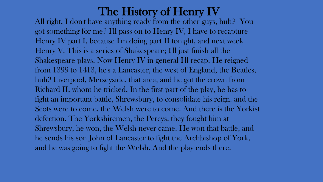All right, I don't have anything ready from the other guys, huh? You got something for me? I'll pass on to Henry IV, I have to recapture Henry IV part I, because I'm doing part II tonight, and next week Henry V. This is a series of Shakespeare; I'll just finish all the Shakespeare plays. Now Henry IV in general I'll recap. He reigned from 1399 to 1413, he's a Lancaster, the west of England, the Beatles, huh? Liverpool, Merseyside, that area, and he got the crown from Richard II, whom he tricked. In the first part of the play, he has to fight an important battle, Shrewsbury, to consolidate his reign. and the Scots were to come, the Welsh were to come. And there is the Yorkist defection. The Yorkshiremen, the Percys, they fought him at Shrewsbury, he won, the Welsh never came. He won that battle, and he sends his son John of Lancaster to fight the Archbishop of York, and he was going to fight the Welsh. And the play ends there.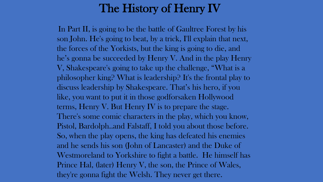In Part II, is going to be the battle of Gaultree Forest by his son John. He's going to beat, by a trick, I'll explain that next, the forces of the Yorkists, but the king is going to die, and he's gonna be succeeded by Henry V. And in the play Henry V, Shakespeare's going to take up the challenge, "What is a philosopher king? What is leadership? It's the frontal play to discuss leadership by Shakespeare. That's his hero, if you like, you want to put it in those godforsaken Hollywood terms, Henry V. But Henry IV is to prepare the stage. There's some comic characters in the play, which you know, Pistol, Bardolph..and Falstaff, I told you about those before. So, when the play opens, the king has defeated his enemies and he sends his son (John of Lancaster) and the Duke of Westmoreland to Yorkshire to fight a battle. He himself has Prince Hal, (later) Henry V, the son, the Prince of Wales, they're gonna fight the Welsh. They never get there.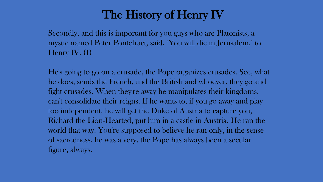Secondly, and this is important for you guys who are Platonists, a mystic named Peter Pontefract, said, "You will die in Jerusalem," to Henry IV. (1)

He's going to go on a crusade, the Pope organizes crusades. See, what he does, sends the French, and the British and whoever, they go and fight crusades. When they're away he manipulates their kingdoms, can't consolidate their reigns. If he wants to, if you go away and play too independent, he will get the Duke of Austria to capture you, Richard the Lion-Hearted, put him in a castle in Austria. He ran the world that way. You're supposed to believe he ran only, in the sense of sacredness, he was a very, the Pope has always been a secular figure, always.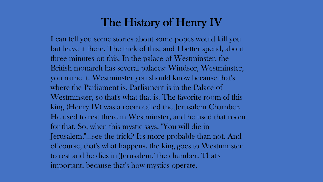I can tell you some stories about some popes would kill you but leave it there. The trick of this, and I better spend, about three minutes on this. In the palace of Westminster, the British monarch has several palaces: Windsor, Westminster, you name it. Westminster you should know because that's where the Parliament is. Parliament is in the Palace of Westminster, so that's what that is. The favorite room of this king (Henry IV) was a room called the Jerusalem Chamber. He used to rest there in Westminster, and he used that room for that. So, when this mystic says, "You will die in Jerusalem,"...see the trick? It's more probable than not. And of course, that's what happens, the king goes to Westminster to rest and he dies in 'Jerusalem,' the chamber. That's important, because that's how mystics operate.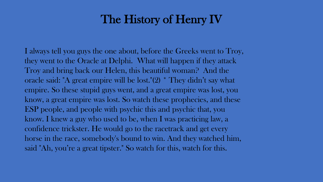I always tell you guys the one about, before the Greeks went to Troy, they went to the Oracle at Delphi. What will happen if they attack Troy and bring back our Helen, this beautiful woman? And the oracle said: "A great empire will be lost."(2) \* They didn't say what empire. So these stupid guys went, and a great empire was lost, you know, a great empire was lost. So watch these prophecies, and these ESP people, and people with psychic this and psychic that, you know. I knew a guy who used to be, when I was practicing law, a confidence trickster. He would go to the racetrack and get every horse in the race, somebody's bound to win. And they watched him, said "Ah, you're a great tipster." So watch for this, watch for this.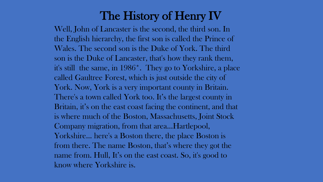Well, John of Lancaster is the second, the third son. In the English hierarchy, the first son is called the Prince of Wales. The second son is the Duke of York. The third son is the Duke of Lancaster, that's how they rank them, it's still the same, in 1986\*. They go to Yorkshire, a place called Gaultree Forest, which is just outside the city of York. Now, York is a very important county in Britain. There's a town called York too. It's the largest county in Britain, it's on the east coast facing the continent, and that is where much of the Boston, Massachusetts, Joint Stock Company migration, from that area...Hartlepool, Yorkshire... here's a Boston there, the place Boston is from there. The name Boston, that's where they got the name from. Hull, It's on the east coast. So, it's good to know where Yorkshire is.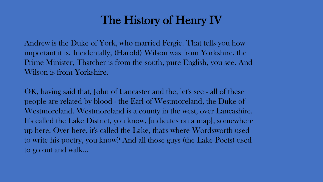Andrew is the Duke of York, who married Fergie. That tells you how important it is. Incidentally, (Harold) Wilson was from Yorkshire, the Prime Minister, Thatcher is from the south, pure English, you see. And Wilson is from Yorkshire.

OK, having said that, John of Lancaster and the, let's see - all of these people are related by blood - the Earl of Westmoreland, the Duke of Westmoreland. Westmoreland is a county in the west, over Lancashire. It's called the Lake District, you know, [indicates on a map], somewhere up here. Over here, it's called the Lake, that's where Wordsworth used to write his poetry, you know? And all those guys (the Lake Poets) used to go out and walk...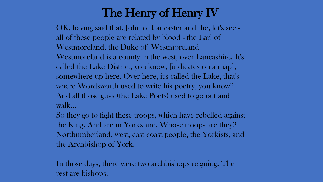## The Henry of Henry IV

OK, having said that, John of Lancaster and the, let's see all of these people are related by blood - the Earl of Westmoreland, the Duke of Westmoreland. Westmoreland is a county in the west, over Lancashire. It's called the Lake District, you know, [indicates on a map], somewhere up here. Over here, it's called the Lake, that's where Wordsworth used to write his poetry, you know? And all those guys (the Lake Poets) used to go out and walk...

So they go to fight these troops, which have rebelled against the King. And are in Yorkshire. Whose troops are they? Northumberland, west, east coast people, the Yorkists, and the Archbishop of York.

In those days, there were two archbishops reigning. The rest are bishops.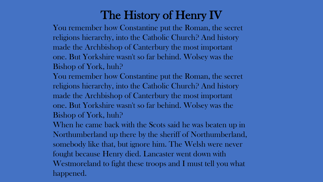You remember how Constantine put the Roman, the secret religions hierarchy, into the Catholic Church? And history made the Archbishop of Canterbury the most important one. But Yorkshire wasn't so far behind. Wolsey was the Bishop of York, huh?

You remember how Constantine put the Roman, the secret religions hierarchy, into the Catholic Church? And history made the Archbishop of Canterbury the most important one. But Yorkshire wasn't so far behind. Wolsey was the Bishop of York, huh?

When he came back with the Scots said he was beaten up in Northumberland up there by the sheriff of Northumberland, somebody like that, but ignore him. The Welsh were never fought because Henry died. Lancaster went down with Westmoreland to fight these troops and I must tell you what happened.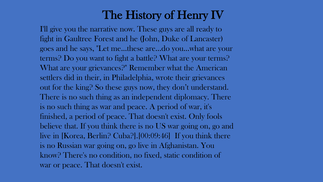I'll give you the narrative now. These guys are all ready to fight in Gaultree Forest and he (John, Duke of Lancaster) goes and he says, "Let me...these are...do you...what are your terms? Do you want to fight a battle? What are your terms? What are your grievances?" Remember what the American settlers did in their, in Philadelphia, wrote their grievances out for the king? So these guys now, they don't understand. There is no such thing as an independent diplomacy. There is no such thing as war and peace. A period of war, it's finished, a period of peace. That doesn't exist. Only fools believe that. If you think there is no US war going on, go and live in [Korea, Berlin? Cuba?].[00:09:46] If you think there is no Russian war going on, go live in Afghanistan. You know? There's no condition, no fixed, static condition of war or peace. That doesn't exist.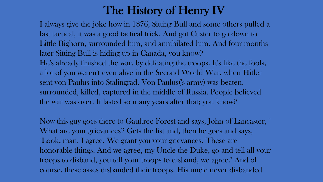I always give the joke how in 1876, Sitting Bull and some others pulled a fast tactical, it was a good tactical trick. And got Custer to go down to Little Bighorn, surrounded him, and annihilated him. And four months later Sitting Bull is hiding up in Canada, you know? He's already finished the war, by defeating the troops. It's like the fools, a lot of you weren't even alive in the Second World War, when Hitler sent von Paulus into Stalingrad. Von Paulus('s army) was beaten, surrounded, killed, captured in the middle of Russia. People believed the war was over. It lasted so many years after that; you know?

Now this guy goes there to Gaultree Forest and says, John of Lancaster, " What are your grievances? Gets the list and, then he goes and says, "Look, man, I agree. We grant you your grievances. These are honorable things. And we agree, my Uncle the Duke, go and tell all your troops to disband, you tell your troops to disband, we agree." And of course, these asses disbanded their troops. His uncle never disbanded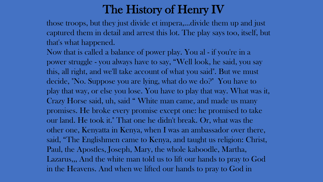those troops, but they just divide et impera,…divide them up and just captured them in detail and arrest this lot. The play says too, itself, but that's what happened.

Now that is called a balance of power play. You al - if you're in a power struggle - you always have to say, "Well look, he said, you say this, all right, and we'll take account of what you said". But we must decide, "No. Suppose you are lying, what do we do?" You have to play that way, or else you lose. You have to play that way. What was it, Crazy Horse said, uh, said " White man came, and made us many promises. He broke every promise except one: he promised to take our land. He took it." That one he didn't break. Or, what was the other one, Kenyatta in Kenya, when I was an ambassador over there, said, "The Englishmen came to Kenya, and taught us religion: Christ, Paul, the Apostles, Joseph, Mary, the whole kaboodle, Martha, Lazarus,,, And the white man told us to lift our hands to pray to God in the Heavens. And when we lifted our hands to pray to God in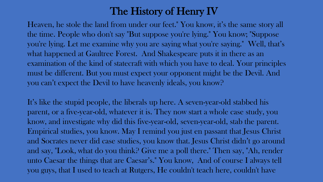Heaven, he stole the land from under our feet." You know, it's the same story all the time. People who don't say "But suppose you're lying." You know; "Suppose you're lying. Let me examine why you are saying what you're saying." Well, that's what happened at Gaultree Forest. And Shakespeare puts it in there as an examination of the kind of statecraft with which you have to deal. Your principles must be different. But you must expect your opponent might be the Devil. And you can't expect the Devil to have heavenly ideals, you know?

It's like the stupid people, the liberals up here. A seven-year-old stabbed his parent, or a five-year-old, whatever it is. They now start a whole case study, you know, and investigate why did this five-year-old, seven-year-old, stab the parent. Empirical studies, you know. May I remind you just en passant that Jesus Christ and Socrates never did case studies, you know that. Jesus Christ didn't go around and say, "Look, what do you think? Give me a poll there." Then say, "Ah, render unto Caesar the things that are Caesar's." You know, And of course I always tell you guys, that I used to teach at Rutgers, He couldn't teach here, couldn't have